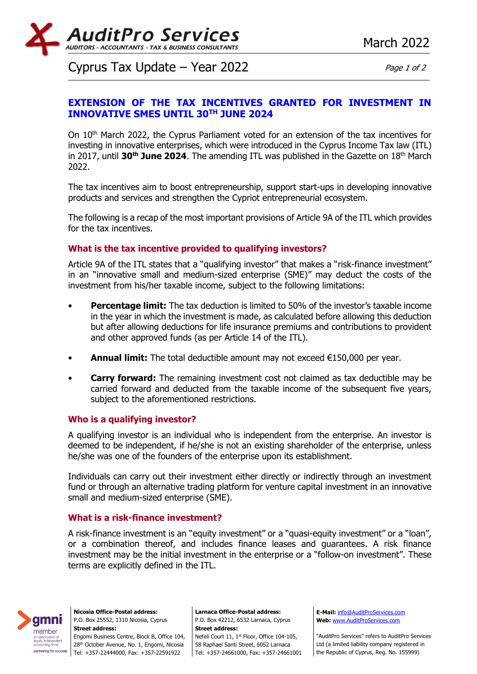

# Cyprus Tax Update – Year 2022  $Page 1 of 2$

## **EXTENSION OF THE TAX INCENTIVES GRANTED FOR INVESTMENT IN INNOVATIVE SMES UNTIL 30TH JUNE 2024**

On 10<sup>th</sup> March 2022, the Cyprus Parliament voted for an extension of the tax incentives for investing in innovative enterprises, which were introduced in the Cyprus Income Tax law (ITL) in 2017, until **30th June 2024**. The amending ITL was published in the Gazette on 18th March 2022.

The tax incentives aim to boost entrepreneurship, support start-ups in developing innovative products and services and strengthen the Cypriot entrepreneurial ecosystem.

The following is a recap of the most important provisions of Article 9A of the ITL which provides for the tax incentives.

### **What is the tax incentive provided to qualifying investors?**

Article 9A of the ITL states that a "qualifying investor" that makes a "risk-finance investment" in an "innovative small and medium-sized enterprise (SME)" may deduct the costs of the investment from his/her taxable income, subject to the following limitations:

- **Percentage limit:** The tax deduction is limited to 50% of the investor's taxable income in the year in which the investment is made, as calculated before allowing this deduction but after allowing deductions for life insurance premiums and contributions to provident and other approved funds (as per Article 14 of the ITL).
- **Annual limit:** The total deductible amount may not exceed €150,000 per year.
- **Carry forward:** The remaining investment cost not claimed as tax deductible may be carried forward and deducted from the taxable income of the subsequent five years, subject to the aforementioned restrictions.

### **Who is a qualifying investor?**

A qualifying investor is an individual who is independent from the enterprise. An investor is deemed to be independent, if he/she is not an existing shareholder of the enterprise, unless he/she was one of the founders of the enterprise upon its establishment.

Individuals can carry out their investment either directly or indirectly through an investment fund or through an alternative trading platform for venture capital investment in an innovative small and medium-sized enterprise (SME).

### **What is a risk-finance investment?**

A risk-finance investment is an "equity investment" or a "quasi-equity investment" or a "loan", or a combination thereof, and includes finance leases and guarantees. A risk finance investment may be the initial investment in the enterprise or a "follow-on investment". These terms are explicitly defined in the ITL.



**Nicosia Office-Postal address:** P.O. Box 25552, 1310 Nicosia, Cyprus **Street address:** Engomi Business Centre, Block B, Office 104, 28<sup>th</sup> October Avenue, No. 1, Engomi, Nicosia Tel: +357-22444000, Fax: +357-22591922

**Larnaca Office-Postal address:** P.O. Box 42212, 6532 Larnaca, Cyprus **Street address:** Nefeli Court 11, 1<sup>st</sup> Floor, Office 104-105, 58 Raphael Santi Street, 6052 Larnaca Tel: +357-24661000, Fax: +357-24661001

**E-Mail:** [info@AuditProServices.com](mailto:info@AuditProServices.com) **Web:** [www.AuditProServices.com](http://www.auditproservices.com/)

"AuditPro Services" refers to AuditPro Services Ltd (a limited liability company registered in the Republic of Cyprus, Reg. No. 155999)